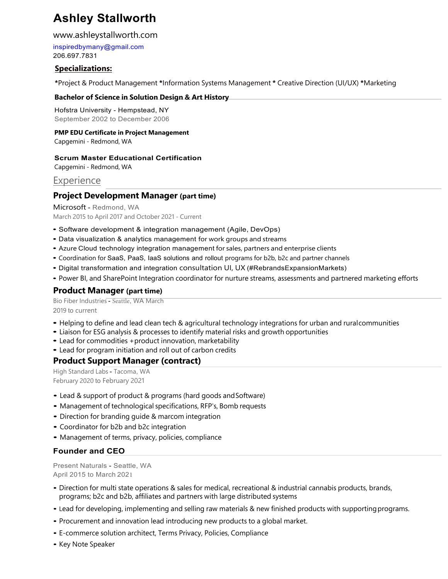# **Ashley Stallworth**

#### www.ashleystallworth.com

inspiredbymany@gmail.com 206.697.7831

## **Specializations:**

**\***Project & Product Management **\***Information Systems Management **\*** Creative Direction (UI/UX) **\***Marketing

#### **Bachelor of Science in Solution Design & Art History**

Hofstra University - Hempstead, NY September 2002 to December 2006

#### **PMP EDU Certificate in Project Management**

Capgemini - Redmond, WA

#### **Scrum Master Educational Certification**

Capgemini - Redmond, WA

# **Experience**

# **Project Development Manager (part time)**

Microsoft - Redmond, WA March 2015 to April 2017 and October 2021 - Current

- Software development & integration management (Agile, DevOps)
- Data visualization & analytics management for work groups and streams
- Azure Cloud <sup>t</sup>echnology integration management for sales, partners and enterprise clients
- Coordination for SaaS, PaaS, IaaS solutions and rollout programs for b2b, b2c and partner channels
- Digital transformation and integration consultation UI, UX (#RebrandsExpansionMarkets)
- Power BI, and SharePoint Integration coordinator for nurture streams, assessments and partnered marketing efforts

## **Product Manager (part time)**

Bio Fiber Industries - Seattle, WA March 2019 to current

- Helping to define and lead clean tech & agricultural technology integrations for urban and ruralcommunities
- Liaison for ESG analysis & processes to identify material risks and growth opportunities
- Lead for commodities +product innovation, marketability
- Lead for program initiation and roll out of carbon credits

# **Product Support Manager (contract)**

High Standard Labs - Tacoma, WA February 2020 to February 2021

- Lead & support of product & programs (hard goods and Software)
- Management of technological specifications, RFP's, Bomb requests
- Direction for branding guide & marcom integration
- Coordinator for b2b and b2c integration
- Management of terms, privacy, policies, compliance

# **Founder and CEO**

Present Naturals - Seattle, WA April 2015 to March 2021

- Direction for multi state operations & sales for medical, recreational & industrial cannabis products, brands, programs; b2c and b2b, affiliates and partners with large distributed systems
- Lead for developing, implementing and selling raw materials & new finished products with supportingprograms.
- Procurement and innovation lead introducing new products to a global market.
- E-commerce solution architect, Terms Privacy, Policies, Compliance
- Key Note Speaker